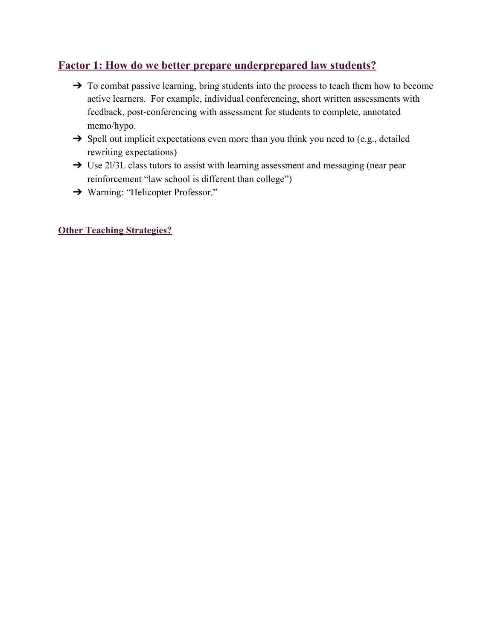### **Factor 1: How do we better prepare underprepared law students?**

- ➔ To combat passive learning, bring students into the process to teach them how to become active learners. For example, individual conferencing, short written assessments with feedback, post-conferencing with assessment for students to complete, annotated memo/hypo.
- $\rightarrow$  Spell out implicit expectations even more than you think you need to (e.g., detailed rewriting expectations)
- → Use 2l/3L class tutors to assist with learning assessment and messaging (near pear reinforcement "law school is different than college")
- ➔ Warning: "Helicopter Professor."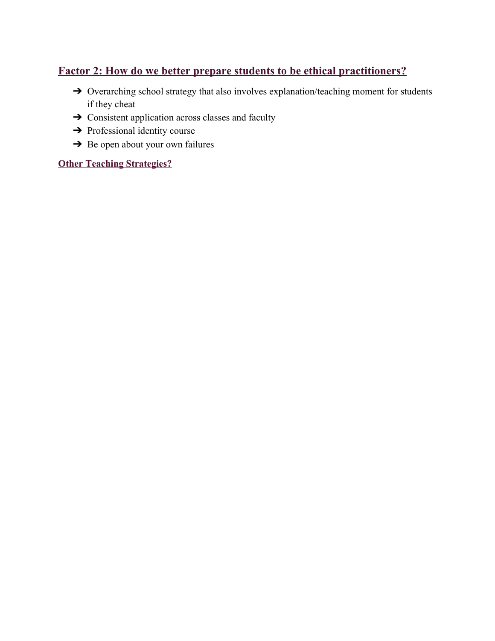# **Factor 2: How do we better prepare students to be ethical practitioners?**

- ➔ Overarching school strategy that also involves explanation/teaching moment for students if they cheat
- **→** Consistent application across classes and faculty
- ➔ Professional identity course
- $\rightarrow$  Be open about your own failures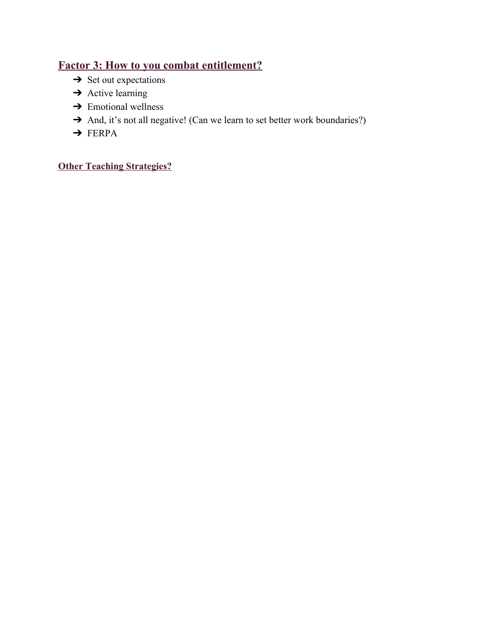# **Factor 3: How to you combat entitlement?**

- $\rightarrow$  Set out expectations
- $\rightarrow$  Active learning
- $\rightarrow$  Emotional wellness
- → And, it's not all negative! (Can we learn to set better work boundaries?)
- ➔ FERPA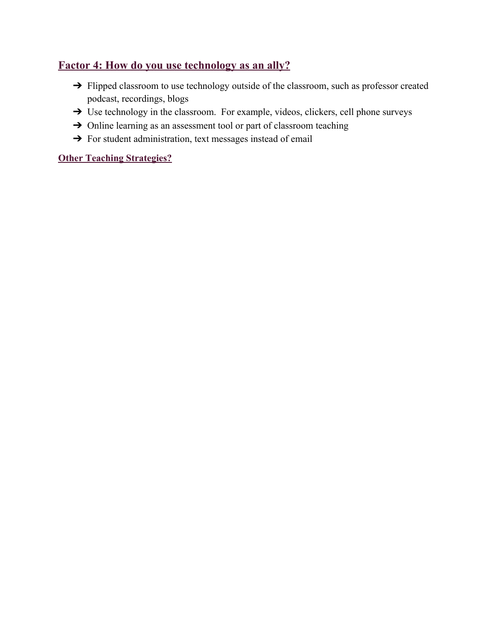### **Factor 4: How do you use technology as an ally?**

- → Flipped classroom to use technology outside of the classroom, such as professor created podcast, recordings, blogs
- → Use technology in the classroom. For example, videos, clickers, cell phone surveys
- → Online learning as an assessment tool or part of classroom teaching
- → For student administration, text messages instead of email